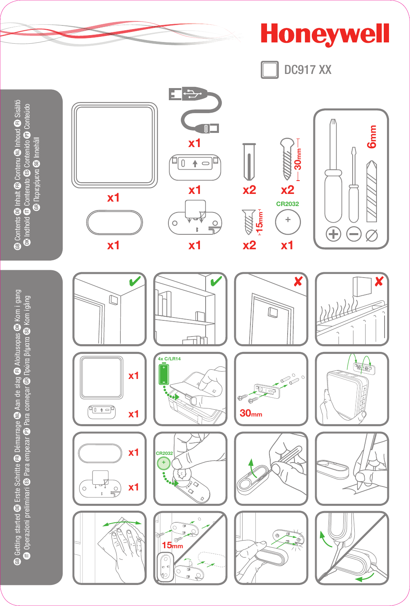**Honeywell DC917 XX** E  $\Rightarrow$  $6<sub>mm</sub>$  $\boxed{0}$ ٦  $x1$ — 30mm anni  $4\overline{0}$  $\overline{+}$  $x1$  $x2$  $x2$  $x1$ CR2032  $-15$ mm $-1$ ÷  $\circ$  $\frac{0}{\overline{1}}$  $\overline{B}$ Æ  $\left( -\right)$  $\oslash$  $x1$  $x2$  $x1$  $x1$ X X V ſ  $\widetilde{\mathbb{D}}$ तीत 4x C/LR14 **Tel**  $x1$ r Ø .<br>E  $40 + 7$  $30<sub>mm</sub>$  $x1$  $x1$ CR203:  $\ddot{}$ 圡  $\begin{array}{c}\n\ddot{\phantom{a}} \\
\frac{\dot{\phantom{a}}}{\sqrt{2}}\n\end{array}$  $x1$  $\circ$ ł.  $\mathbb{CP}^2$  $15<sub>mr</sub>$  $_{\rm c}$